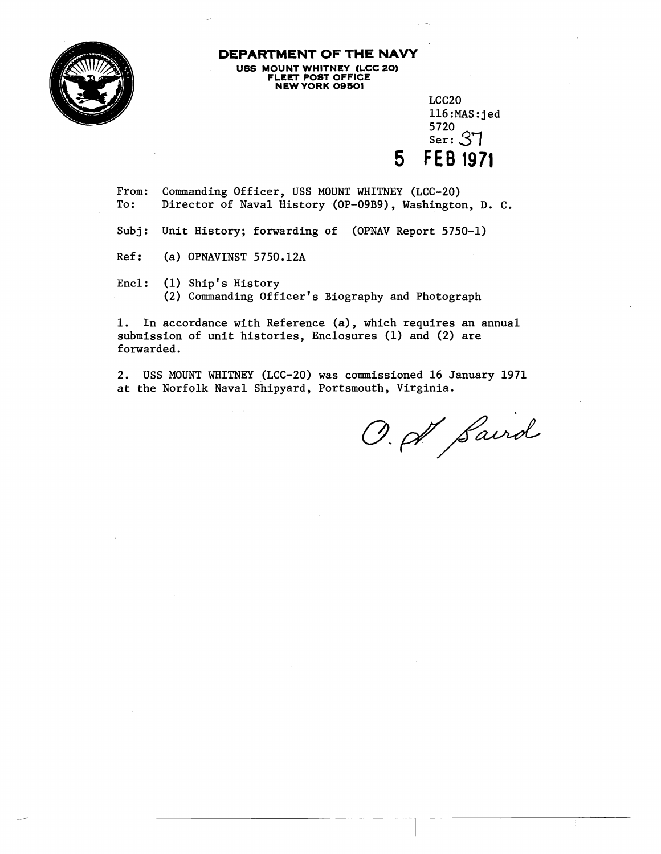

## **DEPARTMENT OF THE NAVY US6 MOUNT WHITNEY <LCC 20) FLEET POST OFFICE NEW YORK 09501**

LCC20 116:MAS:jed<br>5720  $S<sub>er</sub>: 37$ **5 FEB 1971** 

From: Commanding Officer, USS MOUNT WHITNEY (LCC-20) Director of Naval History (OP-09B9), Washington, D. C.

Subj: Unit History; forwarding of (OPNAV Report 5750-1)

Ref: (a) OPNAVINST 5750.12A

Encl: (1) Ship's History (2) Commanding Officer's Biography and Photograph

1. In accordance with Reference (a), which requires an annual submission of unit histories, Enclosures (1) and (2) are forwarded.

2. USS MOUNT WHITNEY (LCC-20) was commissioned 16 January 1971 at the Norfolk Naval Shipyard, Portsmouth, Virginia.

O. A. Saird